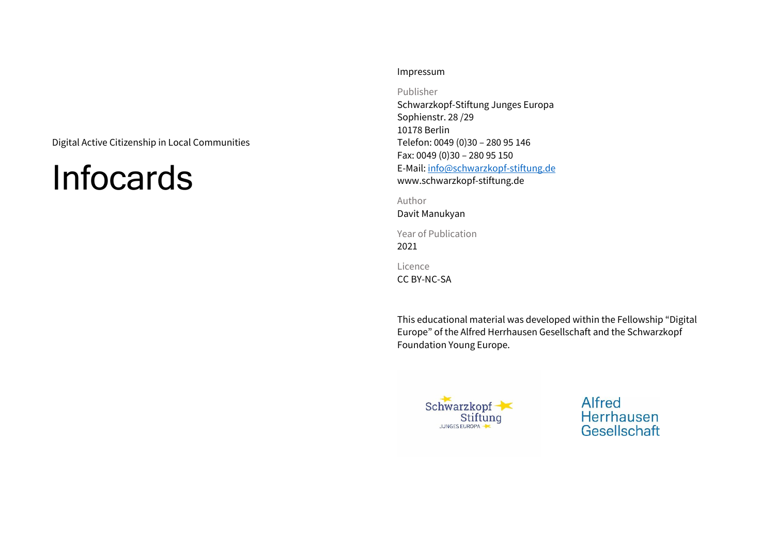Digital Active Citizenship in Local Communities

# Infocards

#### Impressum

Publisher

Schwarzkopf-Stiftung Junges Europa Sophienstr. 28 /29 10178 Berlin Telefon: 0049 (0)30 – 280 95 146 Fax: 0049 (0)30 – 280 95 150 E-Mail: [info@schwarzkopf-stiftung.de](mailto:info@schwarzkopf-stiftung.de) www.schwarzkopf-stiftung.de

Author

Davit Manukyan

Year of Publication 2021

Licence

CC BY-NC-SA

This educational material was developed within the Fellowship "Digital Europe" of the Alfred Herrhausen Gesellschaft and the Schwarzkopf Foundation Young Europe.



Alfred Herrhausen Gesellschaft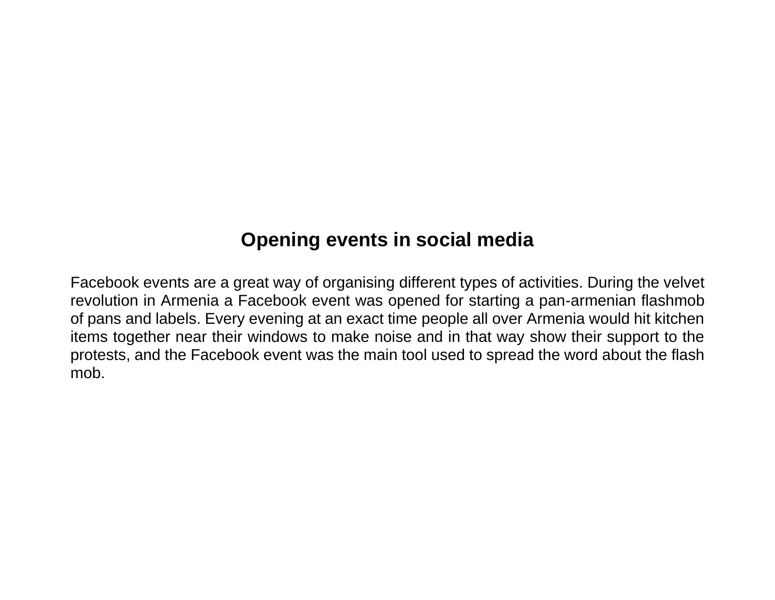# **Opening events in social media**

Facebook events are a great way of organising different types of activities. During the velvet revolution in Armenia a Facebook event was opened for starting a pan-armenian flashmob of pans and labels. Every evening at an exact time people all over Armenia would hit kitchen items together near their windows to make noise and in that way show their support to the protests, and the Facebook event was the main tool used to spread the word about the flash mob.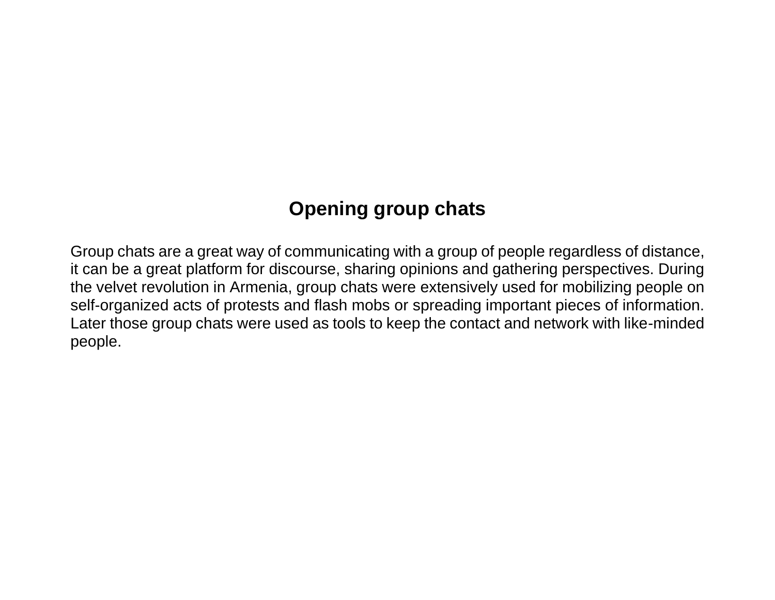# **Opening group chats**

Group chats are a great way of communicating with a group of people regardless of distance, it can be a great platform for discourse, sharing opinions and gathering perspectives. During the velvet revolution in Armenia, group chats were extensively used for mobilizing people on self-organized acts of protests and flash mobs or spreading important pieces of information. Later those group chats were used as tools to keep the contact and network with like-minded people.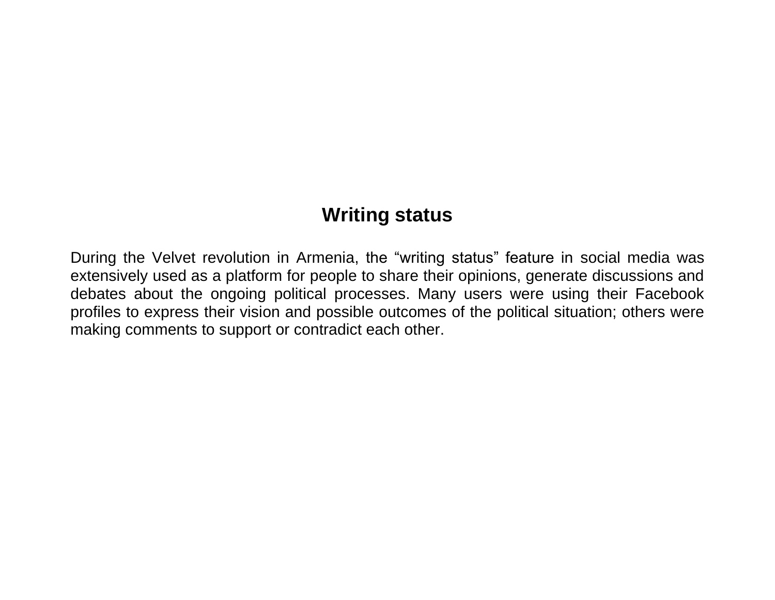### **Writing status**

During the Velvet revolution in Armenia, the "writing status" feature in social media was extensively used as a platform for people to share their opinions, generate discussions and debates about the ongoing political processes. Many users were using their Facebook profiles to express their vision and possible outcomes of the political situation; others were making comments to support or contradict each other.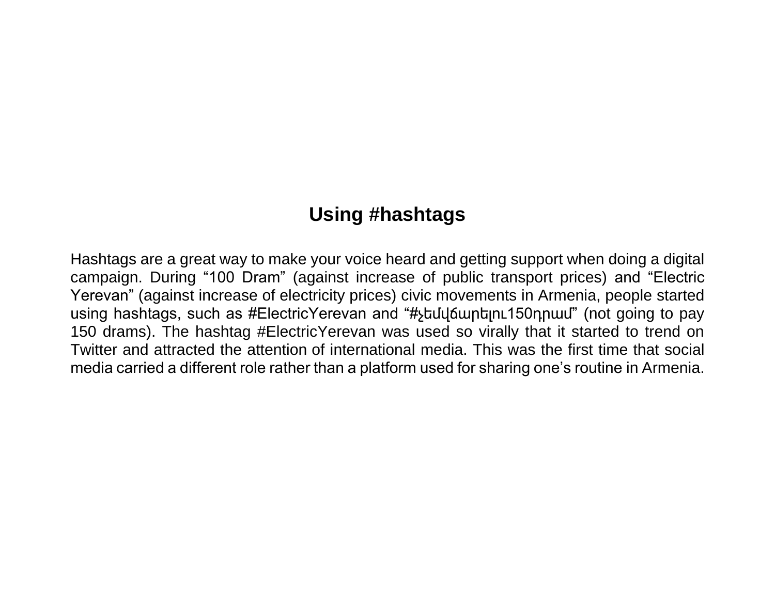# **Using #hashtags**

Hashtags are a great way to make your voice heard and getting support when doing a digital campaign. During "100 Dram" (against increase of public transport prices) and "Electric Yerevan" (against increase of electricity prices) civic movements in Armenia, people started using hashtags, such as #ElectricYerevan and "#չեմվճարելու150դրամ" (not going to pay 150 drams). The hashtag #ElectricYerevan was used so virally that it started to trend on Twitter and attracted the attention of international media. This was the first time that social media carried a different role rather than a platform used for sharing one's routine in Armenia.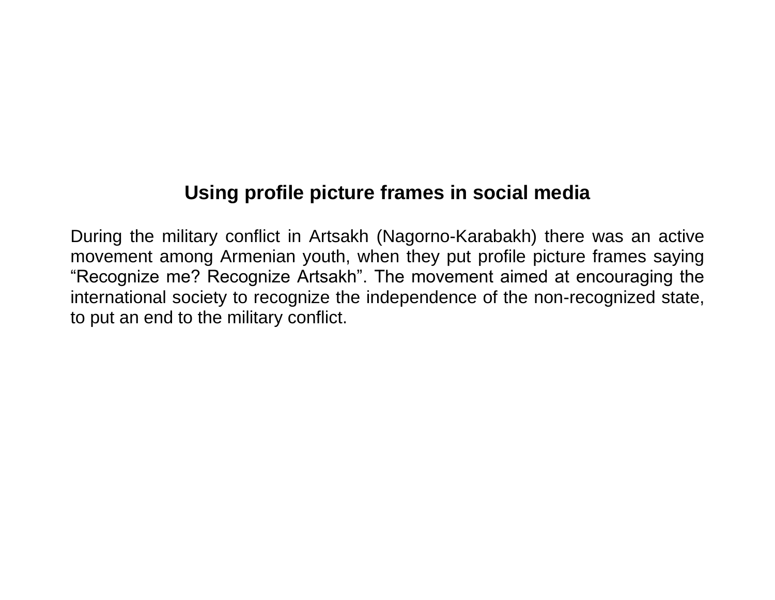# **Using profile picture frames in social media**

During the military conflict in Artsakh (Nagorno-Karabakh) there was an active movement among Armenian youth, when they put profile picture frames saying "Recognize me? Recognize Artsakh". The movement aimed at encouraging the international society to recognize the independence of the non-recognized state, to put an end to the military conflict.